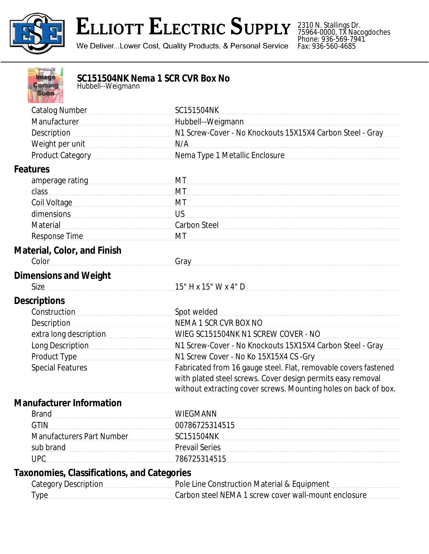

## **ELLIOTT ELECTRIC SUPPLY**

We Deliver...Lower Cost, Quality Products, & Personal Service

2310 N. Stallings Dr. 75964-0000, TX Nacogdoches Phone: 936-569-7941 Fax: 936-560-4685

| <b>Image</b><br>SC151504NK Nema 1 SCR CVR Box No<br><b>Coming</b><br>Hubbell--Weigmann<br><b>Soon</b>           |                                                                 |
|-----------------------------------------------------------------------------------------------------------------|-----------------------------------------------------------------|
| <b>Catalog Number</b>                                                                                           | SC151504NK                                                      |
| Manufacturer                                                                                                    | Hubbell--Weigmann                                               |
| <b>Description</b>                                                                                              | N1 Screw-Cover - No Knockouts 15X15X4 Carbon Steel - Gray       |
| Weight per unit                                                                                                 | N/A                                                             |
| Product Category                                                                                                | Nema Type 1 Metallic Enclosure                                  |
| <b>Features</b>                                                                                                 |                                                                 |
| amperage rating measurements are all the same and all the same sense of the same sense of the same sense of the | МT                                                              |
| class                                                                                                           | MT                                                              |
| Coil Voltage                                                                                                    | MT                                                              |
| dimensions dimensions                                                                                           | <b>US</b>                                                       |
| Material                                                                                                        | <b>Carbon Steel</b>                                             |
| <b>Response Time</b>                                                                                            | MT                                                              |
| <b>Material, Color, and Finish</b>                                                                              |                                                                 |
| Color                                                                                                           | Gray                                                            |
| <b>Dimensions and Weight</b>                                                                                    |                                                                 |
| Size                                                                                                            | 15" H x 15" W x 4" D                                            |
| <b>Descriptions</b>                                                                                             |                                                                 |
| Construction                                                                                                    | Spot welded                                                     |
| <b>Description</b>                                                                                              | NEMA 1 SCR CVR BOX NO                                           |
| extra long description                                                                                          | WIEG SC151504NK N1 SCREW COVER - NO                             |
| Long Description                                                                                                | N1 Screw-Cover - No Knockouts 15X15X4 Carbon Steel - Gray       |
| Product Type                                                                                                    | N1 Screw Cover - No Ko 15X15X4 CS - Gry                         |
| <b>Special Features</b>                                                                                         | Fabricated from 16 gauge steel. Flat, removable covers fastened |
|                                                                                                                 | with plated steel screws. Cover design permits easy removal     |
|                                                                                                                 | without extracting cover screws. Mounting holes on back of box. |
| <b>Manufacturer Information</b>                                                                                 |                                                                 |
| <b>Brand</b>                                                                                                    | <b>WIEGMANN</b>                                                 |
| <b>GTIN</b>                                                                                                     | 00786725314515                                                  |
| Manufacturers Part Number                                                                                       | SC151504NK                                                      |
| sub brand                                                                                                       | <b>Prevail Series</b>                                           |
| <b>UPC</b>                                                                                                      | 786725314515                                                    |
| <b>Taxonomies, Classifications, and Categories</b>                                                              |                                                                 |
| <b>Category Description</b>                                                                                     | Pole Line Construction Material & Equipment                     |
| <b>Type</b>                                                                                                     | Carbon steel NEMA 1 screw cover wall-mount enclosure            |